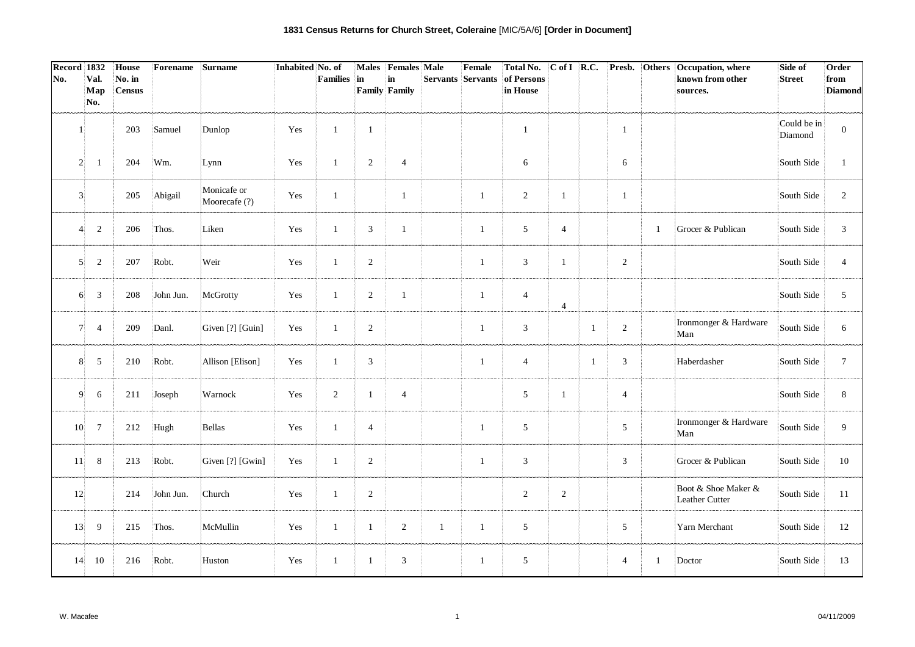| <b>Record 1832</b><br>No. | Val.            | House<br>No. in | Forename  | Surname                      | Inhabited No. of | Families       | lin            | Males Females Male<br>in |              | Female<br>Servants Servants | <b>Total No.</b><br>of Persons |                |    |                 |              | C of I R.C. Presb. Others Occupation, where<br>known from other | Side of<br><b>Street</b> | Order<br>from    |
|---------------------------|-----------------|-----------------|-----------|------------------------------|------------------|----------------|----------------|--------------------------|--------------|-----------------------------|--------------------------------|----------------|----|-----------------|--------------|-----------------------------------------------------------------|--------------------------|------------------|
|                           | Map             | <b>Census</b>   |           |                              |                  |                |                | <b>Family Family</b>     |              |                             | in House                       |                |    |                 |              | sources.                                                        |                          | <b>Diamond</b>   |
|                           | No.             |                 |           |                              |                  |                |                |                          |              |                             |                                |                |    |                 |              |                                                                 |                          |                  |
| 1                         |                 | 203             | Samuel    | Dunlop                       | Yes              | $\mathbf{1}$   | $\mathbf{1}$   |                          |              |                             | $\mathbf{1}$                   |                |    | $\mathbf{1}$    |              |                                                                 | Could be in<br>Diamond   | $\boldsymbol{0}$ |
| $\overline{2}$            | -1              | 204             | Wm.       | Lynn                         | Yes              | $\mathbf{1}$   | 2              | $\overline{4}$           |              |                             | 6                              |                |    | 6               |              |                                                                 | South Side               | $\mathbf{1}$     |
| 3                         |                 | 205             | Abigail   | Monicafe or<br>Moorecafe (?) | Yes              | $\mathbf{1}$   |                | $\mathbf{1}$             |              | $\mathbf{1}$                | 2                              | $\mathbf{1}$   |    | $\mathbf{1}$    |              |                                                                 | South Side               | $\overline{2}$   |
| Δ                         | $\overline{2}$  | 206             | Thos.     | Liken                        | Yes              | $\mathbf{1}$   | 3              | $\mathbf{1}$             |              | $\mathbf{1}$                | 5                              | $\overline{4}$ |    |                 | $\mathbf{1}$ | Grocer & Publican                                               | South Side               | $\mathfrak{Z}$   |
| 5                         | $\overline{c}$  | 207             | Robt.     | Weir                         | Yes              | $\mathbf{1}$   | $\overline{2}$ |                          |              | $\mathbf{1}$                | $\mathbf{3}$                   | $\mathbf{1}$   |    | $\overline{2}$  |              |                                                                 | South Side               | $\overline{4}$   |
| 6                         | $\mathfrak{Z}$  | 208             | John Jun. | McGrotty                     | Yes              | $\mathbf{1}$   | $\overline{2}$ | $\mathbf{1}$             |              | $\mathbf{1}$                | $\overline{4}$                 | $\overline{4}$ |    |                 |              |                                                                 | South Side               | 5                |
| 7!                        | $\overline{4}$  | 209             | Danl.     | Given [?] [Guin]             | Yes              | $\mathbf{1}$   | 2              |                          |              | 1                           | 3                              |                | -1 | 2               |              | Ironmonger & Hardware<br>Man                                    | South Side               | 6                |
| 8                         | $\mathfrak{S}$  | 210             | Robt.     | Allison [Elison]             | Yes              | $\mathbf{1}$   | $\mathbf{3}$   |                          |              | 1                           | $\overline{4}$                 |                | -1 | 3               |              | Haberdasher                                                     | South Side               | $7\overline{ }$  |
| 9                         | 6               | 211             | Joseph    | Warnock                      | Yes              | $\overline{2}$ | $\mathbf{1}$   | $\overline{4}$           |              |                             | 5                              | -1             |    | $\overline{4}$  |              |                                                                 | South Side               | 8                |
| 10                        | $7\phantom{.0}$ | 212             | Hugh      | Bellas                       | Yes              | $\mathbf{1}$   | $\overline{4}$ |                          |              | 1                           | $\mathfrak{S}$                 |                |    | $5\overline{)}$ |              | Ironmonger & Hardware<br>Man                                    | South Side               | 9                |
| 11                        | 8               | 213             | Robt.     | Given [?] [Gwin]             | Yes              | $\mathbf{1}$   | 2              |                          |              | $\mathbf{1}$                | $\mathfrak{Z}$                 |                |    | 3               |              | Grocer & Publican                                               | South Side               | 10               |
| 12                        |                 | 214             | John Jun. | Church                       | Yes              | $\mathbf{1}$   | 2              |                          |              |                             | 2                              | 2              |    |                 |              | Boot & Shoe Maker &<br>Leather Cutter                           | South Side               | 11               |
| 13                        | 9               | 215             | Thos.     | McMullin                     | Yes              | $\mathbf{1}$   | $\mathbf{1}$   | 2                        | $\mathbf{1}$ | $\mathbf{1}$                | 5                              |                |    | 5               |              | Yarn Merchant                                                   | South Side               | 12               |
| 14                        | 10              | 216             | Robt.     | Huston                       | Yes              | $\mathbf{1}$   | $\mathbf{1}$   | 3                        |              | 1                           | $\sqrt{5}$                     |                |    | $\overline{4}$  | -1           | Doctor                                                          | South Side               | 13               |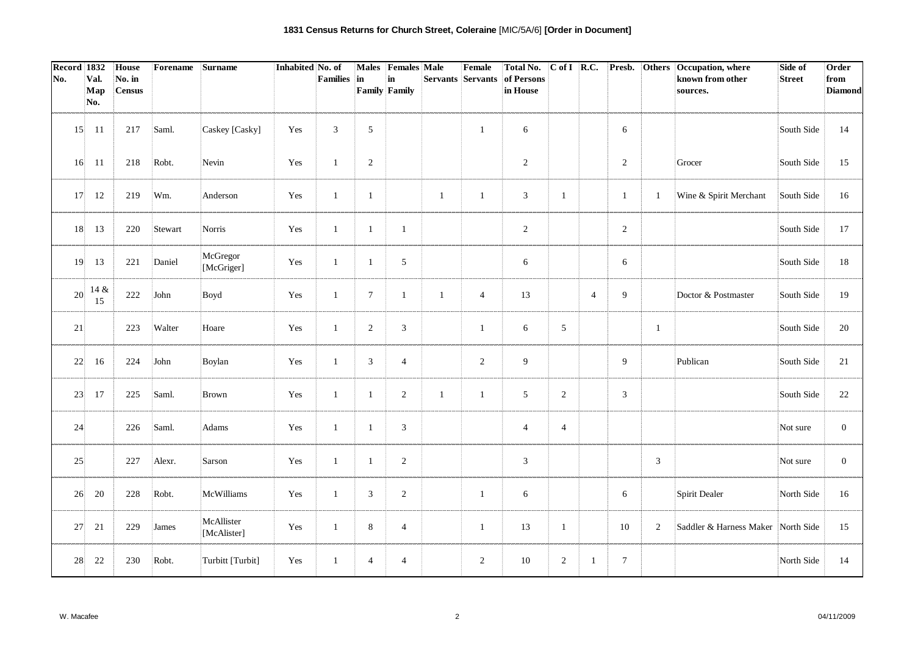| Record 1832 |             | House                   | Forename | Surname                   | Inhabited No. of |                |                | Males Females Male         |                   | Female         | <b>Total No.</b>       | $\overline{C \text{ of } I}$ R.C. |                |                 |                | Presb. Others Occupation, where    | Side of       | Order                  |
|-------------|-------------|-------------------------|----------|---------------------------|------------------|----------------|----------------|----------------------------|-------------------|----------------|------------------------|-----------------------------------|----------------|-----------------|----------------|------------------------------------|---------------|------------------------|
| No.         | Val.<br>Map | No. in<br><b>Census</b> |          |                           |                  | Families       | in             | in<br><b>Family Family</b> | Servants Servants |                | of Persons<br>in House |                                   |                |                 |                | known from other<br>sources.       | <b>Street</b> | from<br><b>Diamond</b> |
|             | No.         |                         |          |                           |                  |                |                |                            |                   |                |                        |                                   |                |                 |                |                                    |               |                        |
| 15          | -11         | 217                     | Saml.    | Caskey [Casky]            | Yes              | $\mathfrak{Z}$ | 5              |                            |                   | $\mathbf{1}$   | 6                      |                                   |                | 6               |                |                                    | South Side    | 14                     |
| 16          | -11         | 218                     | Robt.    | Nevin                     | Yes              | $\mathbf{1}$   | $\overline{2}$ |                            |                   |                | 2                      |                                   |                | 2               |                | Grocer                             | South Side    | 15                     |
| 17          | 12          | 219                     | Wm.      | Anderson                  | Yes              | $\mathbf{1}$   | $\mathbf{1}$   |                            | $\mathbf{1}$      | $\mathbf{1}$   | $\mathfrak{Z}$         | $\mathbf{1}$                      |                | $\mathbf{1}$    | 1              | Wine & Spirit Merchant             | South Side    | 16                     |
| 18          | 13          | 220                     | Stewart  | Norris                    | Yes              | $\mathbf{1}$   | $\mathbf{1}$   | $\mathbf{1}$               |                   |                | 2                      |                                   |                | 2               |                |                                    | South Side    | 17                     |
| 19          | 13          | 221                     | Daniel   | McGregor<br>[McGriger]    | Yes              | $\mathbf{1}$   | $\mathbf{1}$   | $\sqrt{5}$                 |                   |                | 6                      |                                   |                | 6               |                |                                    | South Side    | 18                     |
| 20          | 14 &<br>15  | 222                     | John     | Boyd                      | Yes              | $\mathbf{1}$   | $\tau$         | $\mathbf{1}$               | $\mathbf{1}$      | $\overline{4}$ | 13                     |                                   | $\overline{4}$ | 9               |                | Doctor & Postmaster                | South Side    | 19                     |
| 21          |             | 223                     | Walter   | Hoare                     | Yes              | $\mathbf{1}$   | 2              | $\mathfrak{Z}$             |                   | $\mathbf{1}$   | 6                      | 5                                 |                |                 | $\mathbf{1}$   |                                    | South Side    | 20                     |
| 22          | 16          | 224                     | John     | Boylan                    | Yes              | $\mathbf{1}$   | 3              | $\overline{4}$             |                   | $\overline{2}$ | 9                      |                                   |                | 9               |                | Publican                           | South Side    | 21                     |
| 23          | 17          | 225                     | Saml.    | Brown                     | Yes              | $\mathbf{1}$   | -1             | 2                          | $\mathbf{1}$      | $\mathbf{1}$   | 5                      | 2                                 |                | 3               |                |                                    | South Side    | 22                     |
| 24          |             | 226                     | Saml.    | Adams                     | Yes              | $\mathbf{1}$   | $\mathbf{1}$   | 3                          |                   |                | $\overline{4}$         | $\overline{4}$                    |                |                 |                |                                    | Not sure      | $\overline{0}$         |
| 25          |             | 227                     | Alexr.   | Sarson                    | Yes              | $\mathbf{1}$   | -1             | 2                          |                   |                | 3                      |                                   |                |                 | $\mathfrak{Z}$ |                                    | Not sure      | $\overline{0}$         |
| 26          | 20          | 228                     | Robt.    | McWilliams                | Yes              | $\mathbf{1}$   | 3              | $\overline{2}$             |                   | 1              | 6                      |                                   |                | 6               |                | Spirit Dealer                      | North Side    | 16                     |
| 27          | 21          | 229                     | James    | McAllister<br>[McAlister] | Yes              | $\mathbf{1}$   | 8              | $\overline{4}$             |                   | 1              | 13                     | $\mathbf{1}$                      |                | 10              | $\overline{2}$ | Saddler & Harness Maker North Side |               | 15                     |
| 28          | 22          | 230                     | Robt.    | Turbitt [Turbit]          | Yes              | $\mathbf{1}$   | $\overline{4}$ | $\overline{4}$             |                   | 2              | 10                     | $\overline{2}$                    | -1             | $7\phantom{.0}$ |                |                                    | North Side    | 14                     |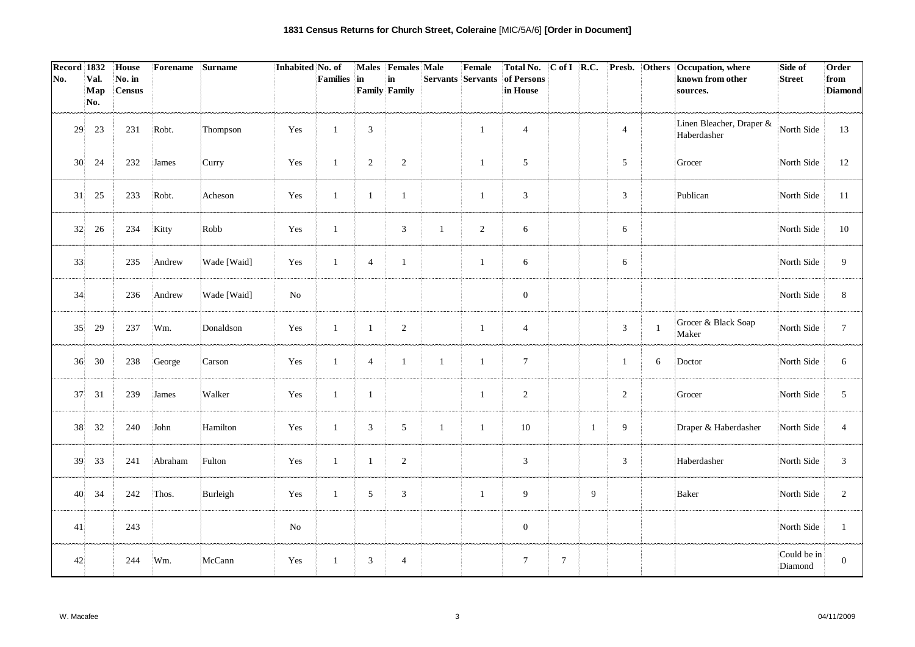| Record 1832     |            | House         | Forename | Surname     | Inhabited No. of |              |                | Males Females Male   |                   | Female         | <b>Total No.</b> | $C$ of I R.C.   |    |                |                | Presb. Others Occupation, where         | Side of                | Order          |
|-----------------|------------|---------------|----------|-------------|------------------|--------------|----------------|----------------------|-------------------|----------------|------------------|-----------------|----|----------------|----------------|-----------------------------------------|------------------------|----------------|
| No.             | Val.       | No. in        |          |             |                  | Families     | in             | $\mathbf{in}$        | Servants Servants |                | of Persons       |                 |    |                |                | known from other                        | <b>Street</b>          | from           |
|                 | Map<br>No. | <b>Census</b> |          |             |                  |              |                | <b>Family Family</b> |                   |                | in House         |                 |    |                |                | sources.                                |                        | <b>Diamond</b> |
|                 |            |               |          |             |                  |              |                |                      |                   |                |                  |                 |    |                |                |                                         |                        |                |
| 29              | 23         | 231           | Robt.    | Thompson    | Yes              | $\mathbf{1}$ | 3              |                      |                   | $\mathbf{1}$   | $\overline{4}$   |                 |    | $\overline{4}$ |                | Linen Bleacher, Draper &<br>Haberdasher | North Side             | 13             |
| 30 <sup>1</sup> | 24         | 232           | James    | Curry       | Yes              | $\mathbf{1}$ | $\overline{2}$ | $\sqrt{2}$           |                   | $\mathbf{1}$   | 5                |                 |    | 5              |                | Grocer                                  | North Side             | 12             |
| 31              | 25         | 233           | Robt.    | Acheson     | Yes              | $\mathbf{1}$ | $\mathbf{1}$   | $\mathbf{1}$         |                   | -1             | 3                |                 |    | 3              |                | Publican                                | North Side             | 11             |
| 32              | 26         | 234           | Kitty    | Robb        | Yes              | $\mathbf{1}$ |                | $\mathfrak{Z}$       | $\mathbf{1}$      | $\overline{2}$ | 6                |                 |    | 6              |                |                                         | North Side             | 10             |
| 33              |            | 235           | Andrew   | Wade [Waid] | Yes              | $\mathbf{1}$ | $\overline{4}$ | $\mathbf{1}$         |                   | $\mathbf{1}$   | 6                |                 |    | 6              |                |                                         | North Side             | 9              |
| 34              |            | 236           | Andrew   | Wade [Waid] | $\rm No$         |              |                |                      |                   |                | $\boldsymbol{0}$ |                 |    |                |                |                                         | North Side             | 8              |
| 35              | 29         | 237           | Wm.      | Donaldson   | Yes              | $\mathbf{1}$ | $\mathbf{1}$   | $\sqrt{2}$           |                   | $\mathbf{1}$   | $\overline{4}$   |                 |    | $\mathbf{3}$   | $\overline{1}$ | Grocer & Black Soap<br>Maker            | North Side             | $\tau$         |
| 36              | 30         | 238           | George   | Carson      | Yes              | 1            | $\overline{4}$ | $\mathbf{1}$         | $\mathbf{1}$      | $\mathbf{1}$   | $\tau$           |                 |    | -1             | 6              | Doctor                                  | North Side             | 6              |
| 37              | 31         | 239           | James    | Walker      | Yes              | $\mathbf{1}$ | $\mathbf{1}$   |                      |                   | $\mathbf{1}$   | 2                |                 |    | $\overline{c}$ |                | Grocer                                  | North Side             | 5              |
| 38              | 32         | 240           | John     | Hamilton    | Yes              | $\mathbf{1}$ | 3              | 5                    | $\mathbf{1}$      | $\mathbf{1}$   | 10               |                 | -1 | 9              |                | Draper & Haberdasher                    | North Side             | $\overline{4}$ |
| 39              | 33         | 241           | Abraham  | Fulton      | Yes              | $\mathbf{1}$ | $\mathbf{1}$   | $\sqrt{2}$           |                   |                | 3                |                 |    | 3              |                | Haberdasher                             | North Side             | 3              |
| 40              | 34         | 242           | Thos.    | Burleigh    | Yes              | $\mathbf{1}$ | 5              | $\mathfrak{Z}$       |                   | $\mathbf{1}$   | 9                |                 | 9  |                |                | Baker                                   | North Side             | $\overline{2}$ |
| 41              |            | 243           |          |             | $\rm No$         |              |                |                      |                   |                | $\boldsymbol{0}$ |                 |    |                |                |                                         | North Side             | $\mathbf{1}$   |
| 42              |            | 244           | Wm.      | McCann      | Yes              | -1           | 3              | $\overline{4}$       |                   |                | $7\phantom{.0}$  | $7\phantom{.0}$ |    |                |                |                                         | Could be in<br>Diamond | $\mathbf{0}$   |